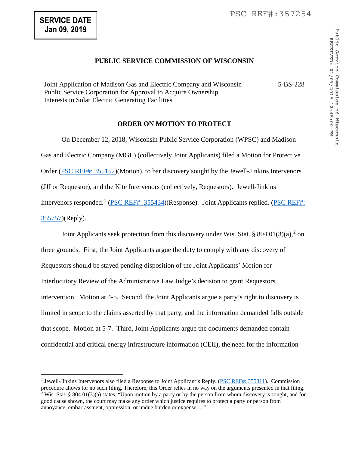$\overline{a}$ 

# **PUBLIC SERVICE COMMISSION OF WISCONSIN**

Joint Application of Madison Gas and Electric Company and Wisconsin Public Service Corporation for Approval to Acquire Ownership Interests in Solar Electric Generating Facilities 5-BS-228

### **ORDER ON MOTION TO PROTECT**

 On December 12, 2018, Wisconsin Public Service Corporation (WPSC) and Madison Gas and Electric Company (MGE) (collectively Joint Applicants) filed a Motion for Protective Order [\(PSC REF#: 355152\)](http://apps.psc.wi.gov/pages/viewdoc.htm?docid=%20355152)(Motion), to bar discovery sought by the Jewell-Jinkins Intervenors (JJI or Requestor), and the Kite Intervenors (collectively, Requestors). Jewell-Jinkins Intervenors responded.<sup>[1](#page-0-0)</sup> (*PSC REF#: 355434*)(Response). Joint Applicants replied. (*PSC REF#:* [355757\)](http://apps.psc.wi.gov/pages/viewdoc.htm?docid=%20355757)(Reply).

Joint Applicants seek protection from this discovery under Wis. Stat. § 804.01(3)(a),<sup>[2](#page-0-1)</sup> on three grounds. First, the Joint Applicants argue the duty to comply with any discovery of Requestors should be stayed pending disposition of the Joint Applicants' Motion for Interlocutory Review of the Administrative Law Judge's decision to grant Requestors intervention. Motion at 4-5. Second, the Joint Applicants argue a party's right to discovery is limited in scope to the claims asserted by that party, and the information demanded falls outside that scope. Motion at 5-7. Third, Joint Applicants argue the documents demanded contain confidential and critical energy infrastructure information (CEII), the need for the information

<span id="page-0-1"></span><span id="page-0-0"></span><sup>1</sup> Jewell-Jinkins Intervenors also filed a Response to Joint Applicant's Reply. [\(PSC REF#: 355811\)](http://apps.psc.wi.gov/pages/viewdoc.htm?docid=%20355811). Commission procedure allows for no such filing. Therefore, this Order relies in no way on the arguments presented in that filing.  $2$  Wis. Stat. § 804.01(3)(a) states, "Upon motion by a party or by the person from whom discovery is sought, and for good cause shown, the court may make any order which justice requires to protect a party or person from annoyance, embarrassment, oppression, or undue burden or expense.…"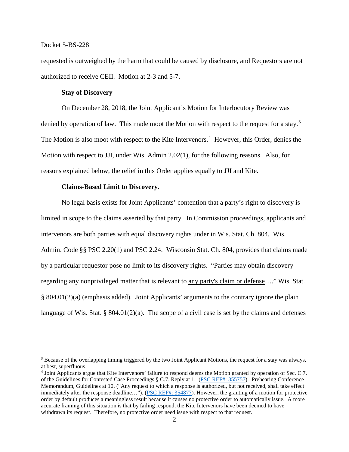$\overline{a}$ 

requested is outweighed by the harm that could be caused by disclosure, and Requestors are not authorized to receive CEII. Motion at 2-3 and 5-7.

### **Stay of Discovery**

On December 28, 2018, the Joint Applicant's Motion for Interlocutory Review was denied by operation of law. This made moot the Motion with respect to the request for a stay.<sup>[3](#page-1-0)</sup> The Motion is also moot with respect to the Kite Intervenors. [4](#page-1-1) However, this Order, denies the Motion with respect to JJI, under Wis. Admin 2.02(1), for the following reasons. Also, for reasons explained below, the relief in this Order applies equally to JJI and Kite.

#### **Claims-Based Limit to Discovery.**

No legal basis exists for Joint Applicants' contention that a party's right to discovery is limited in scope to the claims asserted by that party. In Commission proceedings, applicants and intervenors are both parties with equal discovery rights under in Wis. Stat. Ch. 804. Wis. Admin. Code §§ PSC 2.20(1) and PSC 2.24. Wisconsin Stat. Ch. 804, provides that claims made by a particular requestor pose no limit to its discovery rights. "Parties may obtain discovery regarding any nonprivileged matter that is relevant to any party's claim or defense…." Wis. Stat. § 804.01(2)(a) (emphasis added). Joint Applicants' arguments to the contrary ignore the plain language of Wis. Stat. § 804.01(2)(a). The scope of a civil case is set by the claims and defenses

<span id="page-1-0"></span><sup>&</sup>lt;sup>3</sup> Because of the overlapping timing triggered by the two Joint Applicant Motions, the request for a stay was always, at best, superfluous.

<span id="page-1-1"></span><sup>4</sup> Joint Applicants argue that Kite Intervenors' failure to respond deems the Motion granted by operation of Sec. C.7. of the Guidelines for Contested Case Proceedings § C.7. Reply at 1. [\(PSC REF#: 355757\)](http://apps.psc.wi.gov/pages/viewdoc.htm?docid=%20355757). Prehearing Conference Memorandum, Guidelines at 10. ("Any request to which a response is authorized, but not received, shall take effect immediately after the response deadline..."). [\(PSC REF#: 354877\)](http://apps.psc.wi.gov/pages/viewdoc.htm?docid=%20354877). However, the granting of a motion for protective order by default produces a meaningless result because it causes no protective order to automatically issue. A more accurate framing of this situation is that by failing respond, the Kite Intervenors have been deemed to have withdrawn its request. Therefore, no protective order need issue with respect to that request.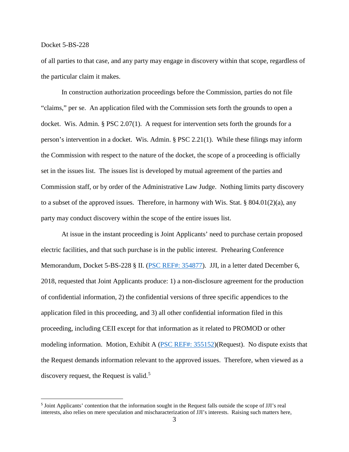$\overline{a}$ 

of all parties to that case, and any party may engage in discovery within that scope, regardless of the particular claim it makes.

In construction authorization proceedings before the Commission, parties do not file "claims," per se. An application filed with the Commission sets forth the grounds to open a docket. Wis. Admin. § PSC 2.07(1). A request for intervention sets forth the grounds for a person's intervention in a docket. Wis. Admin. § PSC 2.21(1). While these filings may inform the Commission with respect to the nature of the docket, the scope of a proceeding is officially set in the issues list. The issues list is developed by mutual agreement of the parties and Commission staff, or by order of the Administrative Law Judge. Nothing limits party discovery to a subset of the approved issues. Therefore, in harmony with Wis. Stat. § 804.01(2)(a), any party may conduct discovery within the scope of the entire issues list.

At issue in the instant proceeding is Joint Applicants' need to purchase certain proposed electric facilities, and that such purchase is in the public interest. Prehearing Conference Memorandum, Docket 5-BS-228 § II. [\(PSC REF#: 354877\)](http://apps.psc.wi.gov/pages/viewdoc.htm?docid=%20354877). JJI, in a letter dated December 6, 2018, requested that Joint Applicants produce: 1) a non-disclosure agreement for the production of confidential information, 2) the confidential versions of three specific appendices to the application filed in this proceeding, and 3) all other confidential information filed in this proceeding, including CEII except for that information as it related to PROMOD or other modeling information. Motion, Exhibit A [\(PSC REF#: 355152\)](http://apps.psc.wi.gov/pages/viewdoc.htm?docid=%20355152)(Request). No dispute exists that the Request demands information relevant to the approved issues. Therefore, when viewed as a discovery request, the Request is valid.<sup>[5](#page-2-0)</sup>

<span id="page-2-0"></span><sup>5</sup> Joint Applicants' contention that the information sought in the Request falls outside the scope of JJI's real interests, also relies on mere speculation and mischaracterization of JJI's interests. Raising such matters here,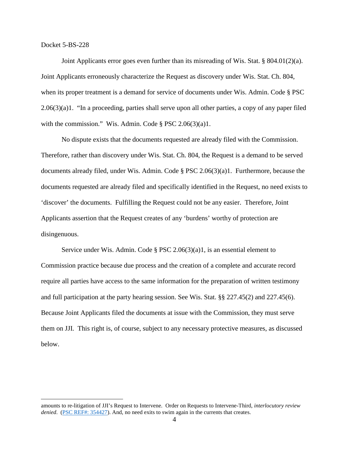Joint Applicants error goes even further than its misreading of Wis. Stat.  $\S 804.01(2)(a)$ . Joint Applicants erroneously characterize the Request as discovery under Wis. Stat. Ch. 804, when its proper treatment is a demand for service of documents under Wis. Admin. Code § PSC 2.06(3)(a)1. "In a proceeding, parties shall serve upon all other parties, a copy of any paper filed with the commission." Wis. Admin. Code § PSC 2.06(3)(a)1.

No dispute exists that the documents requested are already filed with the Commission. Therefore, rather than discovery under Wis. Stat. Ch. 804, the Request is a demand to be served documents already filed, under Wis. Admin. Code § PSC 2.06(3)(a)1. Furthermore, because the documents requested are already filed and specifically identified in the Request, no need exists to 'discover' the documents. Fulfilling the Request could not be any easier. Therefore, Joint Applicants assertion that the Request creates of any 'burdens' worthy of protection are disingenuous.

Service under Wis. Admin. Code § PSC 2.06(3)(a)1, is an essential element to Commission practice because due process and the creation of a complete and accurate record require all parties have access to the same information for the preparation of written testimony and full participation at the party hearing session. See Wis. Stat. §§ 227.45(2) and 227.45(6). Because Joint Applicants filed the documents at issue with the Commission, they must serve them on JJI. This right is, of course, subject to any necessary protective measures, as discussed below.

amounts to re-litigation of JJI's Request to Intervene. Order on Requests to Intervene-Third, *interlocutory review denied.* [\(PSC REF#: 354427\)](http://apps.psc.wi.gov/pages/viewdoc.htm?docid=%20354427). And, no need exits to swim again in the currents that creates.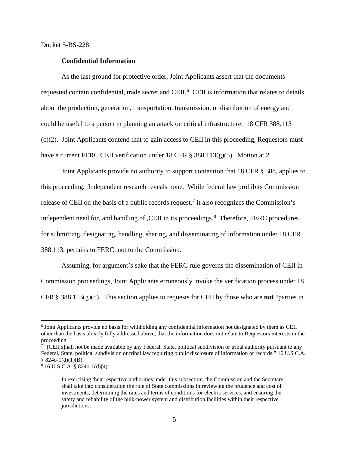#### **Confidential Information**

As the last ground for protective order, Joint Applicants assert that the documents requested contain confidential, trade secret and CEII.<sup>[6](#page-4-0)</sup> CEII is information that relates to details about the production, generation, transportation, transmission, or distribution of energy and could be useful to a person in planning an attack on critical infrastructure. 18 CFR 388.113 (c)(2). Joint Applicants contend that to gain access to CEII in this proceeding, Requestors must have a current FERC CEII verification under 18 CFR § 388.113(g)(5). Motion at 2.

Joint Applicants provide no authority to support contention that 18 CFR § 388, applies to this proceeding. Independent research reveals none. While federal law prohibits Commission release of CEII on the basis of a public records request,<sup>[7](#page-4-1)</sup> it also recognizes the Commission's independent need for, and handling of , CEII in its proceedings.<sup>[8](#page-4-2)</sup> Therefore, FERC procedures for submitting, designating, handling, sharing, and disseminating of information under 18 CFR 388.113, pertains to FERC, not to the Commission.

Assuming, for argument's sake that the FERC rule governs the dissemination of CEII in Commission proceedings, Joint Applicants erroneously invoke the verification process under 18 CFR § 388.113( $g$ )(5). This section applies to requests for CEII by those who are **not** "parties in

<span id="page-4-0"></span> <sup>6</sup> Joint Applicants provide no basis for withholding any confidential information not designated by them as CEII other than the basis already fully addressed above; that the information does not relate to Requestors interests in the proceeding.

<span id="page-4-1"></span><sup>&</sup>lt;sup>7</sup> "[CEII s]hall not be made available by any Federal, State, political subdivision or tribal authority pursuant to any Federal, State, political subdivision or tribal law requiring public disclosure of information or records." 16 U.S.C.A.  $§$  824o-1(d)(1)(B).

<span id="page-4-2"></span><sup>8</sup> 16 U.S.C.A. § 824o-1(d)(4):

In exercising their respective authorities under this subsection, the Commission and the Secretary shall take into consideration the role of State commissions in reviewing the prudence and cost of investments, determining the rates and terms of conditions for electric services, and ensuring the safety and reliability of the bulk-power system and distribution facilities within their respective jurisdictions.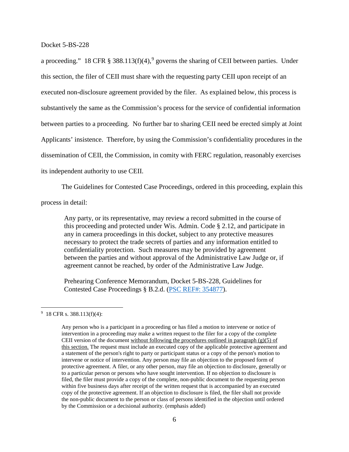a proceeding." 18 CFR § 388.113(f)(4),<sup>[9](#page-5-0)</sup> governs the sharing of CEII between parties. Under this section, the filer of CEII must share with the requesting party CEII upon receipt of an executed non-disclosure agreement provided by the filer. As explained below, this process is substantively the same as the Commission's process for the service of confidential information between parties to a proceeding. No further bar to sharing CEII need be erected simply at Joint Applicants' insistence. Therefore, by using the Commission's confidentiality procedures in the dissemination of CEII, the Commission, in comity with FERC regulation, reasonably exercises its independent authority to use CEII.

The Guidelines for Contested Case Proceedings, ordered in this proceeding, explain this process in detail:

Any party, or its representative, may review a record submitted in the course of this proceeding and protected under Wis. Admin. Code § 2.12, and participate in any in camera proceedings in this docket, subject to any protective measures necessary to protect the trade secrets of parties and any information entitled to confidentiality protection. Such measures may be provided by agreement between the parties and without approval of the Administrative Law Judge or, if agreement cannot be reached, by order of the Administrative Law Judge.

Prehearing Conference Memorandum, Docket 5-BS-228, Guidelines for Contested Case Proceedings § B.2.d. [\(PSC REF#: 354877\)](http://apps.psc.wi.gov/pages/viewdoc.htm?docid=%20354877).

<span id="page-5-0"></span><sup>-&</sup>lt;br>9  $9\,$  18 CFR s. 388.113(f)(4):

Any person who is a participant in a proceeding or has filed a motion to intervene or notice of intervention in a proceeding may make a written request to the filer for a copy of the complete CEII version of the document without following the procedures outlined in paragraph  $(g)(5)$  of this section. The request must include an executed copy of the applicable protective agreement and a statement of the person's right to party or participant status or a copy of the person's motion to intervene or notice of intervention. Any person may file an objection to the proposed form of protective agreement. A filer, or any other person, may file an objection to disclosure, generally or to a particular person or persons who have sought intervention. If no objection to disclosure is filed, the filer must provide a copy of the complete, non-public document to the requesting person within five business days after receipt of the written request that is accompanied by an executed copy of the protective agreement. If an objection to disclosure is filed, the filer shall not provide the non-public document to the person or class of persons identified in the objection until ordered by the Commission or a decisional authority. (emphasis added)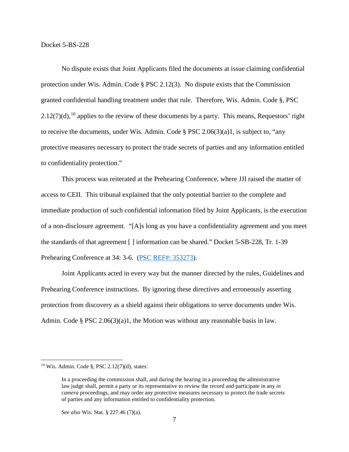No dispute exists that Joint Applicants filed the documents at issue claiming confidential protection under Wis. Admin. Code § PSC 2.12(3). No dispute exists that the Commission granted confidential handling treatment under that rule. Therefore, Wis. Admin. Code §, PSC  $2.12(7)(d)$ , <sup>[10](#page-6-0)</sup> applies to the review of these documents by a party. This means, Requestors' right to receive the documents, under Wis. Admin. Code § PSC 2.06(3)(a)1, is subject to, "any protective measures necessary to protect the trade secrets of parties and any information entitled to confidentiality protection."

This process was reiterated at the Prehearing Conference, where JJI raised the matter of access to CEII. This tribunal explained that the only potential barrier to the complete and immediate production of such confidential information filed by Joint Applicants, is the execution of a non-disclosure agreement. "[A]s long as you have a confidentiality agreement and you meet the standards of that agreement [ ] information can be shared." Docket 5-SB-228, Tr. 1-39 Prehearing Conference at 34: 3-6. [\(PSC REF#: 353273\)](http://apps.psc.wi.gov/pages/viewdoc.htm?docid=%20353273).

Joint Applicants acted in every way but the manner directed by the rules, Guidelines and Prehearing Conference instructions. By ignoring these directives and erroneously asserting protection from discovery as a shield against their obligations to serve documents under Wis. Admin. Code § PSC 2.06(3)(a)1, the Motion was without any reasonable basis in law.

<span id="page-6-0"></span> $10$  Wis. Admin. Code §, PSC 2.12(7)(d), states:

In a proceeding the commission shall, and during the hearing in a proceeding the administrative law judge shall, permit a party or its representative to review the record and participate in any *in camera* proceedings, and may order any protective measures necessary to protect the trade secrets of parties and any information entitled to confidentiality protection.

*See also* Wis. Stat. § 227.46 (7)(a).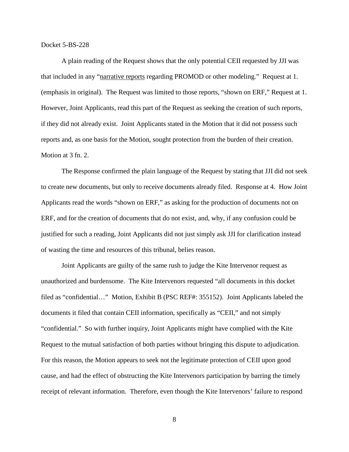A plain reading of the Request shows that the only potential CEII requested by JJI was that included in any "narrative reports regarding PROMOD or other modeling." Request at 1. (emphasis in original). The Request was limited to those reports, "shown on ERF," Request at 1. However, Joint Applicants, read this part of the Request as seeking the creation of such reports, if they did not already exist. Joint Applicants stated in the Motion that it did not possess such reports and, as one basis for the Motion, sought protection from the burden of their creation. Motion at 3 fn. 2.

The Response confirmed the plain language of the Request by stating that JJI did not seek to create new documents, but only to receive documents already filed. Response at 4. How Joint Applicants read the words "shown on ERF," as asking for the production of documents not on ERF, and for the creation of documents that do not exist, and, why, if any confusion could be justified for such a reading, Joint Applicants did not just simply ask JJI for clarification instead of wasting the time and resources of this tribunal, belies reason.

Joint Applicants are guilty of the same rush to judge the Kite Intervenor request as unauthorized and burdensome. The Kite Intervenors requested "all documents in this docket filed as "confidential…" Motion, Exhibit B (PSC REF#: 355152). Joint Applicants labeled the documents it filed that contain CEII information, specifically as "CEII," and not simply "confidential." So with further inquiry, Joint Applicants might have complied with the Kite Request to the mutual satisfaction of both parties without bringing this dispute to adjudication. For this reason, the Motion appears to seek not the legitimate protection of CEII upon good cause, and had the effect of obstructing the Kite Intervenors participation by barring the timely receipt of relevant information. Therefore, even though the Kite Intervenors' failure to respond

8